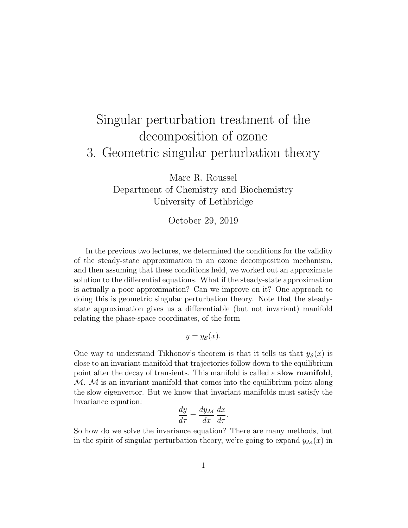## Singular perturbation treatment of the decomposition of ozone 3. Geometric singular perturbation theory

Marc R. Roussel Department of Chemistry and Biochemistry University of Lethbridge

October 29, 2019

In the previous two lectures, we determined the conditions for the validity of the steady-state approximation in an ozone decomposition mechanism, and then assuming that these conditions held, we worked out an approximate solution to the differential equations. What if the steady-state approximation is actually a poor approximation? Can we improve on it? One approach to doing this is geometric singular perturbation theory. Note that the steadystate approximation gives us a differentiable (but not invariant) manifold relating the phase-space coordinates, of the form

$$
y = y_{\mathcal{S}}(x).
$$

One way to understand Tikhonov's theorem is that it tells us that  $y_{\mathcal{S}}(x)$  is close to an invariant manifold that trajectories follow down to the equilibrium point after the decay of transients. This manifold is called a slow manifold,  $M.$  M is an invariant manifold that comes into the equilibrium point along the slow eigenvector. But we know that invariant manifolds must satisfy the invariance equation:

$$
\frac{dy}{d\tau} = \frac{dy_{\mathcal{M}}}{dx} \frac{dx}{d\tau}.
$$

So how do we solve the invariance equation? There are many methods, but in the spirit of singular perturbation theory, we're going to expand  $y_{\mathcal{M}}(x)$  in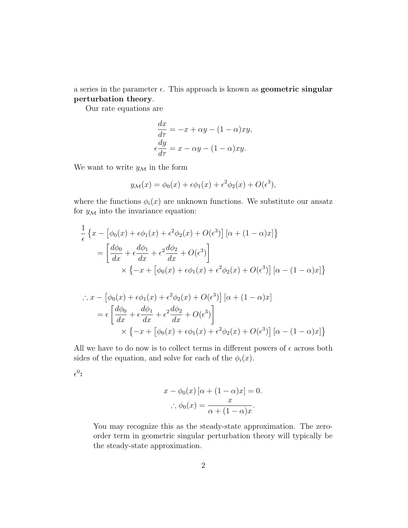a series in the parameter  $\epsilon$ . This approach is known as **geometric singular** perturbation theory.

Our rate equations are

$$
\frac{dx}{d\tau} = -x + \alpha y - (1 - \alpha)xy,
$$
  

$$
\epsilon \frac{dy}{d\tau} = x - \alpha y - (1 - \alpha)xy.
$$

We want to write  $y_{\mathcal{M}}$  in the form

$$
y_{\mathcal{M}}(x) = \phi_0(x) + \epsilon \phi_1(x) + \epsilon^2 \phi_2(x) + O(\epsilon^3),
$$

where the functions  $\phi_i(x)$  are unknown functions. We substitute our ansatz for  $y_{\mathcal{M}}$  into the invariance equation:

$$
\frac{1}{\epsilon} \left\{ x - \left[ \phi_0(x) + \epsilon \phi_1(x) + \epsilon^2 \phi_2(x) + O(\epsilon^3) \right] \left[ \alpha + (1 - \alpha)x \right] \right\}
$$
\n
$$
= \left[ \frac{d\phi_0}{dx} + \epsilon \frac{d\phi_1}{dx} + \epsilon^2 \frac{d\phi_2}{dx} + O(\epsilon^3) \right]
$$
\n
$$
\times \left\{ -x + \left[ \phi_0(x) + \epsilon \phi_1(x) + \epsilon^2 \phi_2(x) + O(\epsilon^3) \right] \left[ \alpha - (1 - \alpha)x \right] \right\}
$$

$$
\therefore x - \left[\phi_0(x) + \epsilon \phi_1(x) + \epsilon^2 \phi_2(x) + O(\epsilon^3)\right] [\alpha + (1 - \alpha)x]
$$
  
=  $\epsilon \left[\frac{d\phi_0}{dx} + \epsilon \frac{d\phi_1}{dx} + \epsilon^2 \frac{d\phi_2}{dx} + O(\epsilon^3)\right]$   
 $\times \left\{-x + \left[\phi_0(x) + \epsilon \phi_1(x) + \epsilon^2 \phi_2(x) + O(\epsilon^3)\right] [\alpha - (1 - \alpha)x]\right\}$ 

All we have to do now is to collect terms in different powers of  $\epsilon$  across both sides of the equation, and solve for each of the  $\phi_i(x)$ .

 $\epsilon^0$ :

$$
x - \phi_0(x) [\alpha + (1 - \alpha)x] = 0.
$$
  

$$
\therefore \phi_0(x) = \frac{x}{\alpha + (1 - \alpha)x}.
$$

You may recognize this as the steady-state approximation. The zeroorder term in geometric singular perturbation theory will typically be the steady-state approximation.